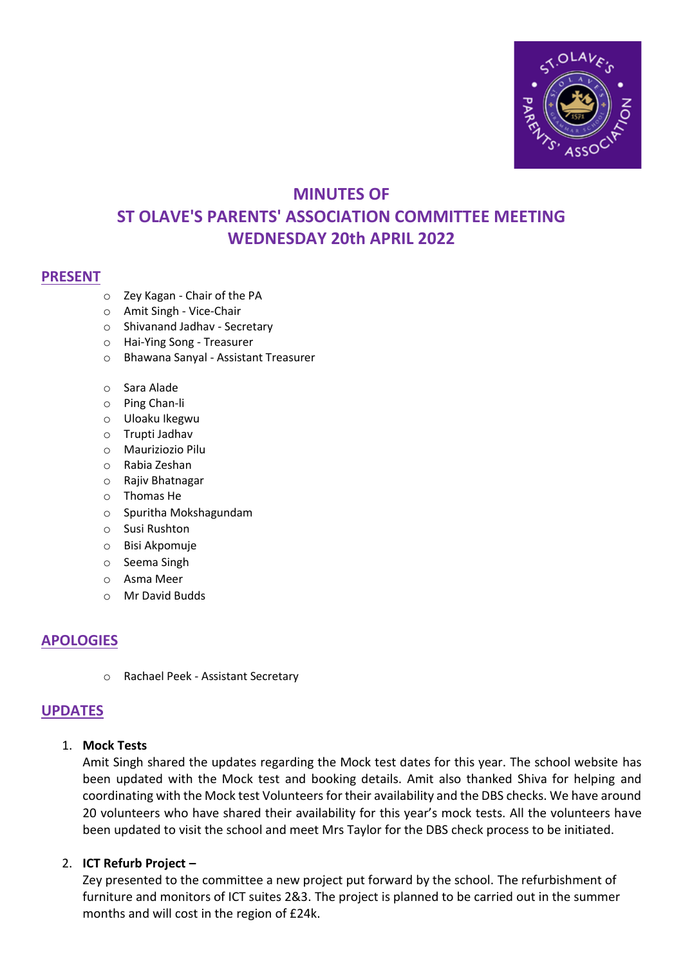

# **MINUTES OF ST OLAVE'S PARENTS' ASSOCIATION COMMITTEE MEETING WEDNESDAY 20th APRIL 2022**

#### **PRESENT**

- o Zey Kagan Chair of the PA
- o Amit Singh Vice-Chair
- o Shivanand Jadhav Secretary
- o Hai-Ying Song Treasurer
- o Bhawana Sanyal Assistant Treasurer
- o Sara Alade
- o Ping Chan-li
- o Uloaku Ikegwu
- o Trupti Jadhav
- o Mauriziozio Pilu
- o Rabia Zeshan
- o Rajiv Bhatnagar
- o Thomas He
- o Spuritha Mokshagundam
- o Susi Rushton
- o Bisi Akpomuje
- o Seema Singh
- o Asma Meer
- o Mr David Budds

# **APOLOGIES**

o Rachael Peek - Assistant Secretary

#### **UPDATES**

#### 1. **Mock Tests**

Amit Singh shared the updates regarding the Mock test dates for this year. The school website has been updated with the Mock test and booking details. Amit also thanked Shiva for helping and coordinating with the Mock test Volunteers for their availability and the DBS checks. We have around 20 volunteers who have shared their availability for this year's mock tests. All the volunteers have been updated to visit the school and meet Mrs Taylor for the DBS check process to be initiated.

#### 2. **ICT Refurb Project –**

Zey presented to the committee a new project put forward by the school. The refurbishment of furniture and monitors of ICT suites 2&3. The project is planned to be carried out in the summer months and will cost in the region of £24k.